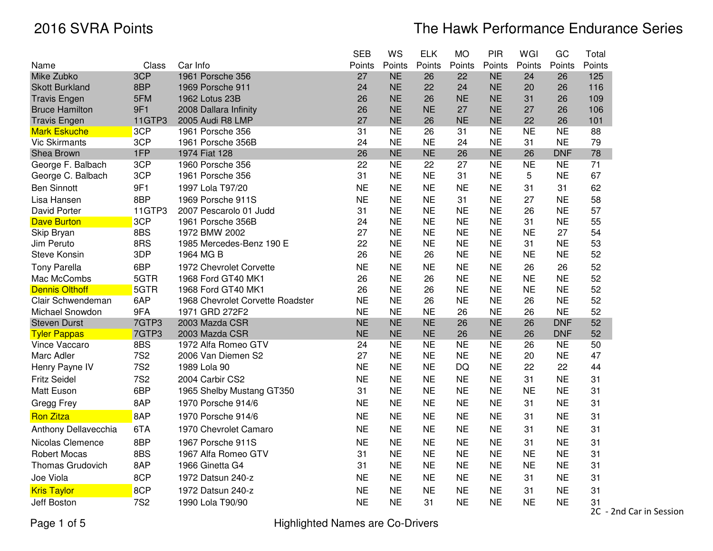|                         |            |                                  | <b>SEB</b> | WS        | <b>ELK</b> | <b>MO</b> | PIR       | WGI       | GC         | Total  |
|-------------------------|------------|----------------------------------|------------|-----------|------------|-----------|-----------|-----------|------------|--------|
| Name                    | Class      | Car Info                         | Points     | Points    | Points     | Points    | Points    | Points    | Points     | Points |
| Mike Zubko              | 3CP        | 1961 Porsche 356                 | 27         | <b>NE</b> | 26         | 22        | <b>NE</b> | 24        | 26         | 125    |
| <b>Skott Burkland</b>   | 8BP        | 1969 Porsche 911                 | 24         | <b>NE</b> | 22         | 24        | <b>NE</b> | 20        | 26         | 116    |
| <b>Travis Engen</b>     | 5FM        | 1962 Lotus 23B                   | 26         | <b>NE</b> | 26         | <b>NE</b> | <b>NE</b> | 31        | 26         | 109    |
| <b>Bruce Hamilton</b>   | 9F1        | 2008 Dallara Infinity            | 26         | <b>NE</b> | <b>NE</b>  | 27        | <b>NE</b> | 27        | 26         | 106    |
| <b>Travis Engen</b>     | 11GTP3     | 2005 Audi R8 LMP                 | 27         | <b>NE</b> | 26         | <b>NE</b> | <b>NE</b> | 22        | 26         | 101    |
| <b>Mark Eskuche</b>     | 3CP        | 1961 Porsche 356                 | 31         | <b>NE</b> | 26         | 31        | <b>NE</b> | <b>NE</b> | <b>NE</b>  | 88     |
| <b>Vic Skirmants</b>    | 3CP        | 1961 Porsche 356B                | 24         | <b>NE</b> | <b>NE</b>  | 24        | <b>NE</b> | 31        | <b>NE</b>  | 79     |
| Shea Brown              | 1FP        | 1974 Fiat 128                    | 26         | <b>NE</b> | <b>NE</b>  | 26        | <b>NE</b> | 26        | <b>DNF</b> | 78     |
| George F. Balbach       | 3CP        | 1960 Porsche 356                 | 22         | <b>NE</b> | 22         | 27        | <b>NE</b> | <b>NE</b> | <b>NE</b>  | 71     |
| George C. Balbach       | 3CP        | 1961 Porsche 356                 | 31         | <b>NE</b> | <b>NE</b>  | 31        | <b>NE</b> | 5         | <b>NE</b>  | 67     |
| <b>Ben Sinnott</b>      | 9F1        | 1997 Lola T97/20                 | <b>NE</b>  | <b>NE</b> | <b>NE</b>  | <b>NE</b> | <b>NE</b> | 31        | 31         | 62     |
| Lisa Hansen             | 8BP        | 1969 Porsche 911S                | <b>NE</b>  | <b>NE</b> | <b>NE</b>  | 31        | <b>NE</b> | 27        | <b>NE</b>  | 58     |
| <b>David Porter</b>     | 11GTP3     | 2007 Pescarolo 01 Judd           | 31         | <b>NE</b> | <b>NE</b>  | <b>NE</b> | <b>NE</b> | 26        | <b>NE</b>  | 57     |
| <b>Dave Burton</b>      | 3CP        | 1961 Porsche 356B                | 24         | <b>NE</b> | <b>NE</b>  | <b>NE</b> | <b>NE</b> | 31        | <b>NE</b>  | 55     |
| Skip Bryan              | 8BS        | 1972 BMW 2002                    | 27         | <b>NE</b> | <b>NE</b>  | <b>NE</b> | <b>NE</b> | <b>NE</b> | 27         | 54     |
| Jim Peruto              | 8RS        | 1985 Mercedes-Benz 190 E         | 22         | <b>NE</b> | <b>NE</b>  | <b>NE</b> | <b>NE</b> | 31        | <b>NE</b>  | 53     |
| Steve Konsin            | 3DP        | 1964 MG B                        | 26         | <b>NE</b> | 26         | <b>NE</b> | <b>NE</b> | <b>NE</b> | <b>NE</b>  | 52     |
| <b>Tony Parella</b>     | 6BP        | 1972 Chevrolet Corvette          | <b>NE</b>  | <b>NE</b> | <b>NE</b>  | <b>NE</b> | <b>NE</b> | 26        | 26         | 52     |
| Mac McCombs             | 5GTR       | 1968 Ford GT40 MK1               | 26         | <b>NE</b> | 26         | <b>NE</b> | <b>NE</b> | <b>NE</b> | <b>NE</b>  | 52     |
| <b>Dennis Olthoff</b>   | 5GTR       | 1968 Ford GT40 MK1               | 26         | <b>NE</b> | 26         | <b>NE</b> | <b>NE</b> | <b>NE</b> | <b>NE</b>  | 52     |
| Clair Schwendeman       | 6AP        | 1968 Chevrolet Corvette Roadster | <b>NE</b>  | <b>NE</b> | 26         | <b>NE</b> | <b>NE</b> | 26        | <b>NE</b>  | 52     |
| Michael Snowdon         | 9FA        | 1971 GRD 272F2                   | <b>NE</b>  | <b>NE</b> | <b>NE</b>  | 26        | <b>NE</b> | 26        | <b>NE</b>  | 52     |
| <b>Steven Durst</b>     | 7GTP3      | 2003 Mazda CSR                   | <b>NE</b>  | <b>NE</b> | <b>NE</b>  | 26        | <b>NE</b> | 26        | <b>DNF</b> | 52     |
| <b>Tyler Pappas</b>     | 7GTP3      | 2003 Mazda CSR                   | <b>NE</b>  | <b>NE</b> | <b>NE</b>  | 26        | <b>NE</b> | 26        | <b>DNF</b> | 52     |
| Vince Vaccaro           | 8BS        | 1972 Alfa Romeo GTV              | 24         | <b>NE</b> | <b>NE</b>  | <b>NE</b> | <b>NE</b> | 26        | <b>NE</b>  | 50     |
| Marc Adler              | <b>7S2</b> | 2006 Van Diemen S2               | 27         | <b>NE</b> | <b>NE</b>  | <b>NE</b> | <b>NE</b> | 20        | <b>NE</b>  | 47     |
| Henry Payne IV          | <b>7S2</b> | 1989 Lola 90                     | <b>NE</b>  | <b>NE</b> | <b>NE</b>  | <b>DQ</b> | <b>NE</b> | 22        | 22         | 44     |
| <b>Fritz Seidel</b>     | <b>7S2</b> | 2004 Carbir CS2                  | <b>NE</b>  | <b>NE</b> | <b>NE</b>  | <b>NE</b> | <b>NE</b> | 31        | <b>NE</b>  | 31     |
| Matt Euson              | 6BP        | 1965 Shelby Mustang GT350        | 31         | <b>NE</b> | <b>NE</b>  | <b>NE</b> | <b>NE</b> | <b>NE</b> | <b>NE</b>  | 31     |
| Gregg Frey              | 8AP        | 1970 Porsche 914/6               | <b>NE</b>  | <b>NE</b> | <b>NE</b>  | <b>NE</b> | <b>NE</b> | 31        | <b>NE</b>  | 31     |
| <b>Ron Zitza</b>        | 8AP        | 1970 Porsche 914/6               | <b>NE</b>  | <b>NE</b> | <b>NE</b>  | <b>NE</b> | <b>NE</b> | 31        | <b>NE</b>  | 31     |
| Anthony Dellavecchia    | 6TA        | 1970 Chevrolet Camaro            | <b>NE</b>  | <b>NE</b> | <b>NE</b>  | <b>NE</b> | <b>NE</b> | 31        | <b>NE</b>  | 31     |
| Nicolas Clemence        | 8BP        | 1967 Porsche 911S                | <b>NE</b>  | <b>NE</b> | <b>NE</b>  | <b>NE</b> | <b>NE</b> | 31        | <b>NE</b>  | 31     |
| <b>Robert Mocas</b>     | 8BS        | 1967 Alfa Romeo GTV              | 31         | <b>NE</b> | <b>NE</b>  | <b>NE</b> | <b>NE</b> | <b>NE</b> | <b>NE</b>  | 31     |
| <b>Thomas Grudovich</b> | 8AP        | 1966 Ginetta G4                  | 31         | <b>NE</b> | <b>NE</b>  | <b>NE</b> | <b>NE</b> | <b>NE</b> | <b>NE</b>  | 31     |
| Joe Viola               | 8CP        | 1972 Datsun 240-z                | <b>NE</b>  | <b>NE</b> | <b>NE</b>  | <b>NE</b> | <b>NE</b> | 31        | <b>NE</b>  | 31     |
| <b>Kris Taylor</b>      | 8CP        | 1972 Datsun 240-z                | <b>NE</b>  | <b>NE</b> | <b>NE</b>  | <b>NE</b> | <b>NE</b> | 31        | <b>NE</b>  | 31     |
| Jeff Boston             | <b>7S2</b> | 1990 Lola T90/90                 | <b>NE</b>  | <b>NE</b> | 31         | <b>NE</b> | <b>NE</b> | <b>NE</b> | <b>NE</b>  | 31     |

2C - 2nd Car in Session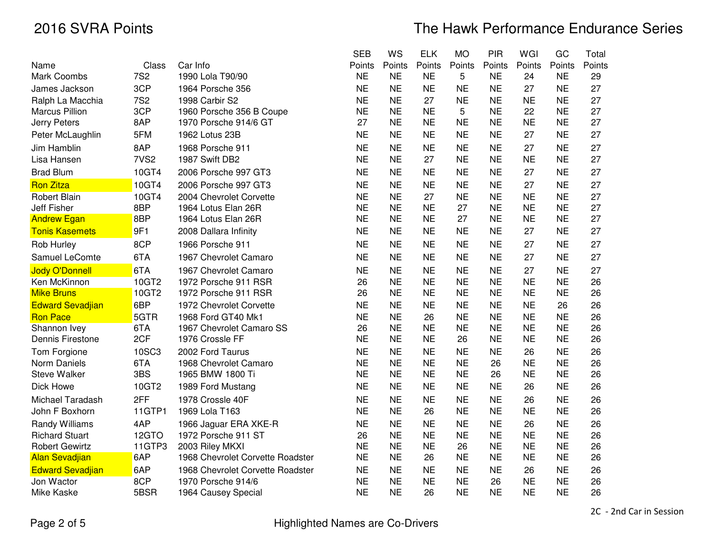|                         |                  |                                  | <b>SEB</b> | <b>WS</b> | <b>ELK</b> | <b>MO</b> | <b>PIR</b> | WGI       | GC        | Total  |
|-------------------------|------------------|----------------------------------|------------|-----------|------------|-----------|------------|-----------|-----------|--------|
| Name                    | Class            | Car Info                         | Points     | Points    | Points     | Points    | Points     | Points    | Points    | Points |
| Mark Coombs             | <b>7S2</b>       | 1990 Lola T90/90                 | <b>NE</b>  | <b>NE</b> | <b>NE</b>  | 5         | <b>NE</b>  | 24        | <b>NE</b> | 29     |
| James Jackson           | 3CP              | 1964 Porsche 356                 | <b>NE</b>  | <b>NE</b> | <b>NE</b>  | <b>NE</b> | <b>NE</b>  | 27        | <b>NE</b> | 27     |
| Ralph La Macchia        | <b>7S2</b>       | 1998 Carbir S2                   | <b>NE</b>  | <b>NE</b> | 27         | <b>NE</b> | <b>NE</b>  | <b>NE</b> | <b>NE</b> | 27     |
| <b>Marcus Pillion</b>   | 3CP              | 1960 Porsche 356 B Coupe         | <b>NE</b>  | <b>NE</b> | <b>NE</b>  | 5         | <b>NE</b>  | 22        | <b>NE</b> | 27     |
| Jerry Peters            | 8AP              | 1970 Porsche 914/6 GT            | 27         | <b>NE</b> | <b>NE</b>  | <b>NE</b> | <b>NE</b>  | <b>NE</b> | <b>NE</b> | 27     |
| Peter McLaughlin        | 5FM              | 1962 Lotus 23B                   | <b>NE</b>  | <b>NE</b> | <b>NE</b>  | <b>NE</b> | <b>NE</b>  | 27        | <b>NE</b> | 27     |
| Jim Hamblin             | 8AP              | 1968 Porsche 911                 | <b>NE</b>  | <b>NE</b> | <b>NE</b>  | <b>NE</b> | <b>NE</b>  | 27        | <b>NE</b> | 27     |
| Lisa Hansen             | 7VS <sub>2</sub> | 1987 Swift DB2                   | <b>NE</b>  | <b>NE</b> | 27         | <b>NE</b> | <b>NE</b>  | <b>NE</b> | <b>NE</b> | 27     |
| <b>Brad Blum</b>        | 10GT4            | 2006 Porsche 997 GT3             | <b>NE</b>  | <b>NE</b> | <b>NE</b>  | <b>NE</b> | <b>NE</b>  | 27        | <b>NE</b> | 27     |
| <b>Ron Zitza</b>        | 10GT4            | 2006 Porsche 997 GT3             | <b>NE</b>  | <b>NE</b> | <b>NE</b>  | <b>NE</b> | <b>NE</b>  | 27        | <b>NE</b> | 27     |
| <b>Robert Blain</b>     | 10GT4            | 2004 Chevrolet Corvette          | <b>NE</b>  | <b>NE</b> | 27         | <b>NE</b> | <b>NE</b>  | <b>NE</b> | <b>NE</b> | 27     |
| Jeff Fisher             | 8BP              | 1964 Lotus Elan 26R              | <b>NE</b>  | <b>NE</b> | <b>NE</b>  | 27        | <b>NE</b>  | <b>NE</b> | <b>NE</b> | 27     |
| <b>Andrew Egan</b>      | 8BP              | 1964 Lotus Elan 26R              | <b>NE</b>  | <b>NE</b> | <b>NE</b>  | 27        | <b>NE</b>  | <b>NE</b> | <b>NE</b> | 27     |
| <b>Tonis Kasemets</b>   | 9F1              | 2008 Dallara Infinity            | <b>NE</b>  | <b>NE</b> | <b>NE</b>  | <b>NE</b> | <b>NE</b>  | 27        | <b>NE</b> | 27     |
| Rob Hurley              | 8CP              | 1966 Porsche 911                 | <b>NE</b>  | <b>NE</b> | <b>NE</b>  | <b>NE</b> | <b>NE</b>  | 27        | <b>NE</b> | 27     |
| Samuel LeComte          | 6TA              | 1967 Chevrolet Camaro            | <b>NE</b>  | <b>NE</b> | <b>NE</b>  | <b>NE</b> | <b>NE</b>  | 27        | <b>NE</b> | 27     |
| <b>Jody O'Donnell</b>   | 6TA              | 1967 Chevrolet Camaro            | <b>NE</b>  | <b>NE</b> | <b>NE</b>  | <b>NE</b> | <b>NE</b>  | 27        | <b>NE</b> | 27     |
| Ken McKinnon            | 10GT2            | 1972 Porsche 911 RSR             | 26         | <b>NE</b> | <b>NE</b>  | <b>NE</b> | <b>NE</b>  | <b>NE</b> | <b>NE</b> | 26     |
| <b>Mike Bruns</b>       | 10GT2            | 1972 Porsche 911 RSR             | 26         | <b>NE</b> | <b>NE</b>  | <b>NE</b> | <b>NE</b>  | <b>NE</b> | <b>NE</b> | 26     |
| <b>Edward Sevadjian</b> | 6BP              | 1972 Chevrolet Corvette          | <b>NE</b>  | <b>NE</b> | <b>NE</b>  | <b>NE</b> | <b>NE</b>  | <b>NE</b> | 26        | 26     |
| <b>Ron Pace</b>         | 5GTR             | 1968 Ford GT40 Mk1               | <b>NE</b>  | <b>NE</b> | 26         | <b>NE</b> | <b>NE</b>  | <b>NE</b> | <b>NE</b> | 26     |
| Shannon Ivey            | 6TA              | 1967 Chevrolet Camaro SS         | 26         | <b>NE</b> | <b>NE</b>  | <b>NE</b> | <b>NE</b>  | <b>NE</b> | <b>NE</b> | 26     |
| Dennis Firestone        | 2CF              | 1976 Crossle FF                  | <b>NE</b>  | <b>NE</b> | <b>NE</b>  | 26        | <b>NE</b>  | <b>NE</b> | <b>NE</b> | 26     |
| Tom Forgione            | 10SC3            | 2002 Ford Taurus                 | <b>NE</b>  | <b>NE</b> | <b>NE</b>  | <b>NE</b> | <b>NE</b>  | 26        | <b>NE</b> | 26     |
| Norm Daniels            | 6TA              | 1968 Chevrolet Camaro            | <b>NE</b>  | <b>NE</b> | <b>NE</b>  | <b>NE</b> | 26         | <b>NE</b> | <b>NE</b> | 26     |
| <b>Steve Walker</b>     | 3BS              | 1965 BMW 1800 Ti                 | <b>NE</b>  | <b>NE</b> | <b>NE</b>  | <b>NE</b> | 26         | <b>NE</b> | <b>NE</b> | 26     |
| Dick Howe               | 10GT2            | 1989 Ford Mustang                | <b>NE</b>  | <b>NE</b> | <b>NE</b>  | <b>NE</b> | <b>NE</b>  | 26        | <b>NE</b> | 26     |
| Michael Taradash        | 2FF              | 1978 Crossle 40F                 | <b>NE</b>  | <b>NE</b> | <b>NE</b>  | <b>NE</b> | <b>NE</b>  | 26        | <b>NE</b> | 26     |
| John F Boxhorn          | 11GTP1           | 1969 Lola T163                   | <b>NE</b>  | <b>NE</b> | 26         | <b>NE</b> | <b>NE</b>  | <b>NE</b> | <b>NE</b> | 26     |
| <b>Randy Williams</b>   | 4AP              | 1966 Jaguar ERA XKE-R            | <b>NE</b>  | <b>NE</b> | <b>NE</b>  | <b>NE</b> | <b>NE</b>  | 26        | <b>NE</b> | 26     |
| <b>Richard Stuart</b>   | 12GTO            | 1972 Porsche 911 ST              | 26         | <b>NE</b> | <b>NE</b>  | <b>NE</b> | <b>NE</b>  | <b>NE</b> | <b>NE</b> | 26     |
| <b>Robert Gewirtz</b>   | 11GTP3           | 2003 Riley MKXI                  | <b>NE</b>  | <b>NE</b> | <b>NE</b>  | 26        | <b>NE</b>  | <b>NE</b> | <b>NE</b> | 26     |
| <b>Alan Sevadjian</b>   | 6AP              | 1968 Chevrolet Corvette Roadster | <b>NE</b>  | <b>NE</b> | 26         | <b>NE</b> | <b>NE</b>  | <b>NE</b> | <b>NE</b> | 26     |
| <b>Edward Sevadjian</b> | 6AP              | 1968 Chevrolet Corvette Roadster | <b>NE</b>  | <b>NE</b> | <b>NE</b>  | <b>NE</b> | <b>NE</b>  | 26        | <b>NE</b> | 26     |
| Jon Wactor              | 8CP              | 1970 Porsche 914/6               | <b>NE</b>  | <b>NE</b> | <b>NE</b>  | <b>NE</b> | 26         | <b>NE</b> | <b>NE</b> | 26     |
| Mike Kaske              | 5BSR             | 1964 Causey Special              | <b>NE</b>  | <b>NE</b> | 26         | <b>NE</b> | <b>NE</b>  | <b>NE</b> | <b>NE</b> | 26     |

2C - 2nd Car in Session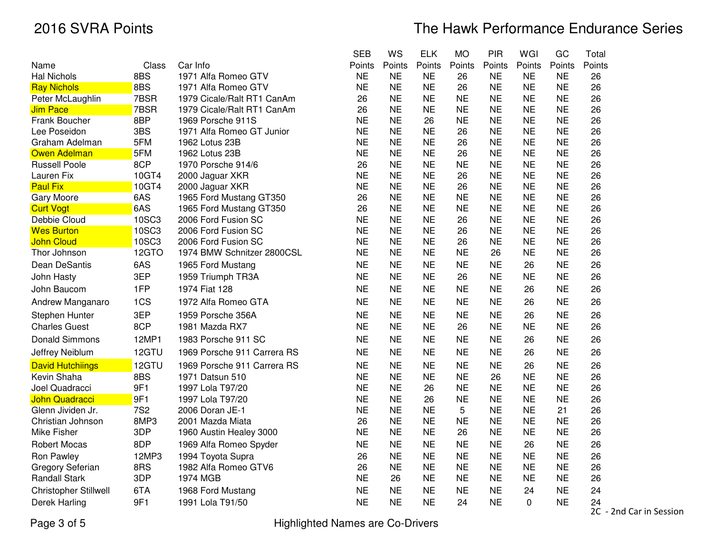|                             |              |                             | <b>SEB</b> | WS        | <b>ELK</b> | <b>MO</b> | <b>PIR</b> | WGI       | GC        | Total          |     |
|-----------------------------|--------------|-----------------------------|------------|-----------|------------|-----------|------------|-----------|-----------|----------------|-----|
| Name                        | Class        | Car Info                    | Points     | Points    | Points     | Points    | Points     | Points    | Points    | Points         |     |
| Hal Nichols                 | 8BS          | 1971 Alfa Romeo GTV         | <b>NE</b>  | <b>NE</b> | <b>NE</b>  | 26        | <b>NE</b>  | <b>NE</b> | <b>NE</b> | 26             |     |
| <b>Ray Nichols</b>          | 8BS          | 1971 Alfa Romeo GTV         | <b>NE</b>  | <b>NE</b> | <b>NE</b>  | 26        | <b>NE</b>  | <b>NE</b> | <b>NE</b> | 26             |     |
| Peter McLaughlin            | 7BSR         | 1979 Cicale/Ralt RT1 CanAm  | 26         | <b>NE</b> | <b>NE</b>  | <b>NE</b> | <b>NE</b>  | <b>NE</b> | <b>NE</b> | 26             |     |
| Jim Pace                    | 7BSR         | 1979 Cicale/Ralt RT1 CanAm  | 26         | <b>NE</b> | <b>NE</b>  | <b>NE</b> | <b>NE</b>  | <b>NE</b> | <b>NE</b> | 26             |     |
| Frank Boucher               | 8BP          | 1969 Porsche 911S           | <b>NE</b>  | <b>NE</b> | 26         | <b>NE</b> | <b>NE</b>  | <b>NE</b> | <b>NE</b> | 26             |     |
| Lee Poseidon                | 3BS          | 1971 Alfa Romeo GT Junior   | <b>NE</b>  | <b>NE</b> | <b>NE</b>  | 26        | <b>NE</b>  | <b>NE</b> | <b>NE</b> | 26             |     |
| Graham Adelman              | 5FM          | 1962 Lotus 23B              | <b>NE</b>  | <b>NE</b> | <b>NE</b>  | 26        | <b>NE</b>  | <b>NE</b> | <b>NE</b> | 26             |     |
| Owen Adelman                | 5FM          | 1962 Lotus 23B              | <b>NE</b>  | <b>NE</b> | <b>NE</b>  | 26        | <b>NE</b>  | <b>NE</b> | <b>NE</b> | 26             |     |
| <b>Russell Poole</b>        | 8CP          | 1970 Porsche 914/6          | 26         | <b>NE</b> | <b>NE</b>  | <b>NE</b> | <b>NE</b>  | <b>NE</b> | <b>NE</b> | 26             |     |
| Lauren Fix                  | 10GT4        | 2000 Jaguar XKR             | <b>NE</b>  | <b>NE</b> | <b>NE</b>  | 26        | <b>NE</b>  | <b>NE</b> | <b>NE</b> | 26             |     |
| Paul Fix                    | 10GT4        | 2000 Jaguar XKR             | <b>NE</b>  | <b>NE</b> | <b>NE</b>  | 26        | <b>NE</b>  | <b>NE</b> | <b>NE</b> | 26             |     |
| Gary Moore                  | 6AS          | 1965 Ford Mustang GT350     | 26         | <b>NE</b> | <b>NE</b>  | <b>NE</b> | <b>NE</b>  | <b>NE</b> | <b>NE</b> | 26             |     |
| <b>Curt Vogt</b>            | 6AS          | 1965 Ford Mustang GT350     | 26         | <b>NE</b> | <b>NE</b>  | <b>NE</b> | <b>NE</b>  | <b>NE</b> | <b>NE</b> | 26             |     |
| Debbie Cloud                | 10SC3        | 2006 Ford Fusion SC         | <b>NE</b>  | <b>NE</b> | <b>NE</b>  | 26        | <b>NE</b>  | <b>NE</b> | <b>NE</b> | 26             |     |
| <b>Wes Burton</b>           | <b>10SC3</b> | 2006 Ford Fusion SC         | <b>NE</b>  | <b>NE</b> | <b>NE</b>  | 26        | <b>NE</b>  | <b>NE</b> | <b>NE</b> | 26             |     |
| John Cloud                  | <b>10SC3</b> | 2006 Ford Fusion SC         | <b>NE</b>  | <b>NE</b> | <b>NE</b>  | 26        | <b>NE</b>  | <b>NE</b> | <b>NE</b> | 26             |     |
| Thor Johnson                | 12GTO        | 1974 BMW Schnitzer 2800CSL  | <b>NE</b>  | <b>NE</b> | <b>NE</b>  | <b>NE</b> | 26         | <b>NE</b> | <b>NE</b> | 26             |     |
| Dean DeSantis               | 6AS          | 1965 Ford Mustang           | <b>NE</b>  | <b>NE</b> | <b>NE</b>  | <b>NE</b> | <b>NE</b>  | 26        | <b>NE</b> | 26             |     |
| John Hasty                  | 3EP          | 1959 Triumph TR3A           | <b>NE</b>  | <b>NE</b> | <b>NE</b>  | 26        | <b>NE</b>  | <b>NE</b> | <b>NE</b> | 26             |     |
| John Baucom                 | 1FP          | 1974 Fiat 128               | <b>NE</b>  | <b>NE</b> | <b>NE</b>  | <b>NE</b> | <b>NE</b>  | 26        | <b>NE</b> | 26             |     |
| Andrew Manganaro            | 1CS          | 1972 Alfa Romeo GTA         | <b>NE</b>  | <b>NE</b> | <b>NE</b>  | <b>NE</b> | <b>NE</b>  | 26        | <b>NE</b> | 26             |     |
| Stephen Hunter              | 3EP          | 1959 Porsche 356A           | <b>NE</b>  | <b>NE</b> | <b>NE</b>  | <b>NE</b> | <b>NE</b>  | 26        | <b>NE</b> | 26             |     |
| <b>Charles Guest</b>        | 8CP          | 1981 Mazda RX7              | <b>NE</b>  | <b>NE</b> | <b>NE</b>  | 26        | <b>NE</b>  | <b>NE</b> | <b>NE</b> | 26             |     |
| Donald Simmons              | 12MP1        | 1983 Porsche 911 SC         | <b>NE</b>  | <b>NE</b> | <b>NE</b>  | <b>NE</b> | <b>NE</b>  | 26        | <b>NE</b> | 26             |     |
| Jeffrey Neiblum             | 12GTU        | 1969 Porsche 911 Carrera RS | <b>NE</b>  | <b>NE</b> | <b>NE</b>  | <b>NE</b> | <b>NE</b>  | 26        | <b>NE</b> | 26             |     |
| <b>David Hutchiings</b>     | 12GTU        | 1969 Porsche 911 Carrera RS | <b>NE</b>  | <b>NE</b> | <b>NE</b>  | <b>NE</b> | <b>NE</b>  | 26        | <b>NE</b> | 26             |     |
| Kevin Shaha                 | 8BS          | 1971 Datsun 510             | <b>NE</b>  | <b>NE</b> | <b>NE</b>  | <b>NE</b> | 26         | <b>NE</b> | <b>NE</b> | 26             |     |
| Joel Quadracci              | 9F1          | 1997 Lola T97/20            | <b>NE</b>  | <b>NE</b> | 26         | <b>NE</b> | <b>NE</b>  | <b>NE</b> | <b>NE</b> | 26             |     |
| <mark>John Quadracci</mark> | 9F1          | 1997 Lola T97/20            | <b>NE</b>  | <b>NE</b> | 26         | <b>NE</b> | <b>NE</b>  | <b>NE</b> | <b>NE</b> | 26             |     |
| Glenn Jividen Jr.           | <b>7S2</b>   | 2006 Doran JE-1             | <b>NE</b>  | <b>NE</b> | <b>NE</b>  | 5         | <b>NE</b>  | <b>NE</b> | 21        | 26             |     |
| Christian Johnson           | 8MP3         | 2001 Mazda Miata            | 26         | <b>NE</b> | <b>NE</b>  | <b>NE</b> | <b>NE</b>  | <b>NE</b> | <b>NE</b> | 26             |     |
| Mike Fisher                 | 3DP          | 1960 Austin Healey 3000     | <b>NE</b>  | <b>NE</b> | <b>NE</b>  | 26        | <b>NE</b>  | <b>NE</b> | <b>NE</b> | 26             |     |
| <b>Robert Mocas</b>         | 8DP          | 1969 Alfa Romeo Spyder      | <b>NE</b>  | <b>NE</b> | <b>NE</b>  | <b>NE</b> | <b>NE</b>  | 26        | <b>NE</b> | 26             |     |
| Ron Pawley                  | 12MP3        | 1994 Toyota Supra           | 26         | <b>NE</b> | <b>NE</b>  | <b>NE</b> | <b>NE</b>  | <b>NE</b> | <b>NE</b> | 26             |     |
| Gregory Seferian            | 8RS          | 1982 Alfa Romeo GTV6        | 26         | <b>NE</b> | <b>NE</b>  | <b>NE</b> | <b>NE</b>  | <b>NE</b> | <b>NE</b> | 26             |     |
| Randall Stark               | 3DP          | 1974 MGB                    | <b>NE</b>  | 26        | <b>NE</b>  | <b>NE</b> | <b>NE</b>  | <b>NE</b> | <b>NE</b> | 26             |     |
| Christopher Stillwell       | 6TA          | 1968 Ford Mustang           | <b>NE</b>  | <b>NE</b> | <b>NE</b>  | <b>NE</b> | <b>NE</b>  | 24        | <b>NE</b> | 24             |     |
| Derek Harling               | 9F1          | 1991 Lola T91/50            | <b>NE</b>  | <b>NE</b> | <b>NE</b>  | 24        | <b>NE</b>  | 0         | <b>NE</b> | 24             |     |
|                             |              |                             |            |           |            |           |            |           |           | $\overline{2}$ | 2nd |

Page 3 of 5

Highlighted Names are Co-Drivers

2C - 2nd Car in Session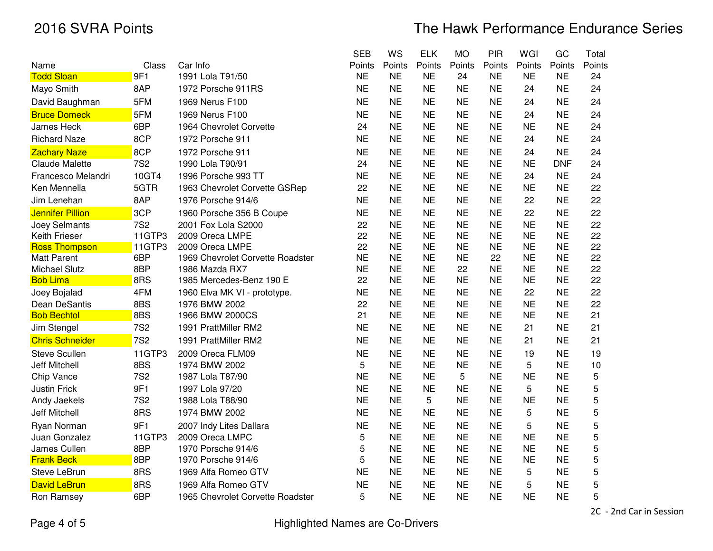|                         |            |                                  | <b>SEB</b> | WS        | <b>ELK</b> | <b>MO</b> | <b>PIR</b> | WGI       | GC         | Total       |
|-------------------------|------------|----------------------------------|------------|-----------|------------|-----------|------------|-----------|------------|-------------|
| Name                    | Class      | Car Info                         | Points     | Points    | Points     | Points    | Points     | Points    | Points     | Points      |
| <b>Todd Sloan</b>       | 9F1        | 1991 Lola T91/50                 | <b>NE</b>  | <b>NE</b> | <b>NE</b>  | 24        | <b>NE</b>  | <b>NE</b> | <b>NE</b>  | 24          |
| Mayo Smith              | 8AP        | 1972 Porsche 911RS               | <b>NE</b>  | <b>NE</b> | <b>NE</b>  | <b>NE</b> | <b>NE</b>  | 24        | <b>NE</b>  | 24          |
| David Baughman          | 5FM        | 1969 Nerus F100                  | <b>NE</b>  | <b>NE</b> | <b>NE</b>  | <b>NE</b> | <b>NE</b>  | 24        | <b>NE</b>  | 24          |
| <b>Bruce Domeck</b>     | 5FM        | 1969 Nerus F100                  | <b>NE</b>  | <b>NE</b> | <b>NE</b>  | <b>NE</b> | <b>NE</b>  | 24        | <b>NE</b>  | 24          |
| <b>James Heck</b>       | 6BP        | 1964 Chevrolet Corvette          | 24         | <b>NE</b> | <b>NE</b>  | <b>NE</b> | <b>NE</b>  | <b>NE</b> | <b>NE</b>  | 24          |
| <b>Richard Naze</b>     | 8CP        | 1972 Porsche 911                 | <b>NE</b>  | <b>NE</b> | <b>NE</b>  | <b>NE</b> | <b>NE</b>  | 24        | <b>NE</b>  | 24          |
| <b>Zachary Naze</b>     | 8CP        | 1972 Porsche 911                 | <b>NE</b>  | <b>NE</b> | <b>NE</b>  | <b>NE</b> | <b>NE</b>  | 24        | <b>NE</b>  | 24          |
| <b>Claude Malette</b>   | <b>7S2</b> | 1990 Lola T90/91                 | 24         | <b>NE</b> | <b>NE</b>  | <b>NE</b> | <b>NE</b>  | <b>NE</b> | <b>DNF</b> | 24          |
| Francesco Melandri      | 10GT4      | 1996 Porsche 993 TT              | <b>NE</b>  | <b>NE</b> | <b>NE</b>  | <b>NE</b> | <b>NE</b>  | 24        | <b>NE</b>  | 24          |
| Ken Mennella            | 5GTR       | 1963 Chevrolet Corvette GSRep    | 22         | <b>NE</b> | <b>NE</b>  | <b>NE</b> | <b>NE</b>  | <b>NE</b> | <b>NE</b>  | 22          |
| Jim Lenehan             | 8AP        | 1976 Porsche 914/6               | <b>NE</b>  | <b>NE</b> | <b>NE</b>  | <b>NE</b> | <b>NE</b>  | 22        | <b>NE</b>  | 22          |
| <b>Jennifer Pillion</b> | 3CP        | 1960 Porsche 356 B Coupe         | <b>NE</b>  | <b>NE</b> | <b>NE</b>  | <b>NE</b> | <b>NE</b>  | 22        | <b>NE</b>  | 22          |
| Joey Selmants           | <b>7S2</b> | 2001 Fox Lola S2000              | 22         | <b>NE</b> | <b>NE</b>  | <b>NE</b> | <b>NE</b>  | <b>NE</b> | <b>NE</b>  | 22          |
| Keith Frieser           | 11GTP3     | 2009 Oreca LMPE                  | 22         | <b>NE</b> | <b>NE</b>  | <b>NE</b> | <b>NE</b>  | <b>NE</b> | <b>NE</b>  | 22          |
| <b>Ross Thompson</b>    | 11GTP3     | 2009 Oreca LMPE                  | 22         | <b>NE</b> | <b>NE</b>  | <b>NE</b> | <b>NE</b>  | <b>NE</b> | <b>NE</b>  | 22          |
| Matt Parent             | 6BP        | 1969 Chevrolet Corvette Roadster | <b>NE</b>  | <b>NE</b> | <b>NE</b>  | <b>NE</b> | 22         | <b>NE</b> | <b>NE</b>  | 22          |
| <b>Michael Slutz</b>    | 8BP        | 1986 Mazda RX7                   | <b>NE</b>  | <b>NE</b> | <b>NE</b>  | 22        | <b>NE</b>  | <b>NE</b> | <b>NE</b>  | 22          |
| <b>Bob Lima</b>         | 8RS        | 1985 Mercedes-Benz 190 E         | 22         | <b>NE</b> | <b>NE</b>  | <b>NE</b> | <b>NE</b>  | <b>NE</b> | <b>NE</b>  | 22          |
| Joey Bojalad            | 4FM        | 1960 Elva MK VI - prototype.     | <b>NE</b>  | <b>NE</b> | <b>NE</b>  | <b>NE</b> | <b>NE</b>  | 22        | <b>NE</b>  | 22          |
| Dean DeSantis           | 8BS        | 1976 BMW 2002                    | 22         | <b>NE</b> | <b>NE</b>  | <b>NE</b> | <b>NE</b>  | <b>NE</b> | <b>NE</b>  | 22          |
| <b>Bob Bechtol</b>      | 8BS        | 1966 BMW 2000CS                  | 21         | <b>NE</b> | <b>NE</b>  | <b>NE</b> | <b>NE</b>  | <b>NE</b> | <b>NE</b>  | 21          |
| Jim Stengel             | <b>7S2</b> | 1991 PrattMiller RM2             | <b>NE</b>  | <b>NE</b> | <b>NE</b>  | <b>NE</b> | <b>NE</b>  | 21        | <b>NE</b>  | 21          |
| <b>Chris Schneider</b>  | <b>7S2</b> | 1991 PrattMiller RM2             | <b>NE</b>  | <b>NE</b> | <b>NE</b>  | <b>NE</b> | <b>NE</b>  | 21        | <b>NE</b>  | 21          |
| <b>Steve Scullen</b>    | 11GTP3     | 2009 Oreca FLM09                 | <b>NE</b>  | <b>NE</b> | <b>NE</b>  | <b>NE</b> | <b>NE</b>  | 19        | <b>NE</b>  | 19          |
| <b>Jeff Mitchell</b>    | 8BS        | 1974 BMW 2002                    | 5          | <b>NE</b> | <b>NE</b>  | <b>NE</b> | <b>NE</b>  | 5         | <b>NE</b>  | 10          |
| Chip Vance              | <b>7S2</b> | 1987 Lola T87/90                 | <b>NE</b>  | <b>NE</b> | <b>NE</b>  | 5         | <b>NE</b>  | <b>NE</b> | <b>NE</b>  | 5           |
| <b>Justin Frick</b>     | 9F1        | 1997 Lola 97/20                  | <b>NE</b>  | <b>NE</b> | <b>NE</b>  | <b>NE</b> | <b>NE</b>  | 5         | <b>NE</b>  | $\mathbf 5$ |
| Andy Jaekels            | <b>7S2</b> | 1988 Lola T88/90                 | <b>NE</b>  | <b>NE</b> | 5          | <b>NE</b> | <b>NE</b>  | <b>NE</b> | <b>NE</b>  | $\mathbf 5$ |
| <b>Jeff Mitchell</b>    | 8RS        | 1974 BMW 2002                    | <b>NE</b>  | <b>NE</b> | <b>NE</b>  | <b>NE</b> | <b>NE</b>  | 5         | <b>NE</b>  | $\mathbf 5$ |
| Ryan Norman             | 9F1        | 2007 Indy Lites Dallara          | <b>NE</b>  | <b>NE</b> | <b>NE</b>  | <b>NE</b> | <b>NE</b>  | 5         | <b>NE</b>  | $\mathbf 5$ |
| Juan Gonzalez           | 11GTP3     | 2009 Oreca LMPC                  | 5          | <b>NE</b> | <b>NE</b>  | <b>NE</b> | <b>NE</b>  | <b>NE</b> | <b>NE</b>  | 5           |
| James Cullen            | 8BP        | 1970 Porsche 914/6               | 5          | <b>NE</b> | <b>NE</b>  | <b>NE</b> | <b>NE</b>  | <b>NE</b> | <b>NE</b>  | 5           |
| <b>Frank Beck</b>       | 8BP        | 1970 Porsche 914/6               | 5          | <b>NE</b> | <b>NE</b>  | <b>NE</b> | <b>NE</b>  | <b>NE</b> | <b>NE</b>  | 5           |
| Steve LeBrun            | 8RS        | 1969 Alfa Romeo GTV              | <b>NE</b>  | <b>NE</b> | <b>NE</b>  | <b>NE</b> | <b>NE</b>  | 5         | <b>NE</b>  | 5           |
| <b>David LeBrun</b>     | 8RS        | 1969 Alfa Romeo GTV              | <b>NE</b>  | <b>NE</b> | <b>NE</b>  | <b>NE</b> | <b>NE</b>  | 5         | <b>NE</b>  | 5           |
| Ron Ramsey              | 6BP        | 1965 Chevrolet Corvette Roadster | 5          | <b>NE</b> | <b>NE</b>  | <b>NE</b> | <b>NE</b>  | <b>NE</b> | <b>NE</b>  | 5           |
|                         |            |                                  |            |           |            |           |            |           |            |             |